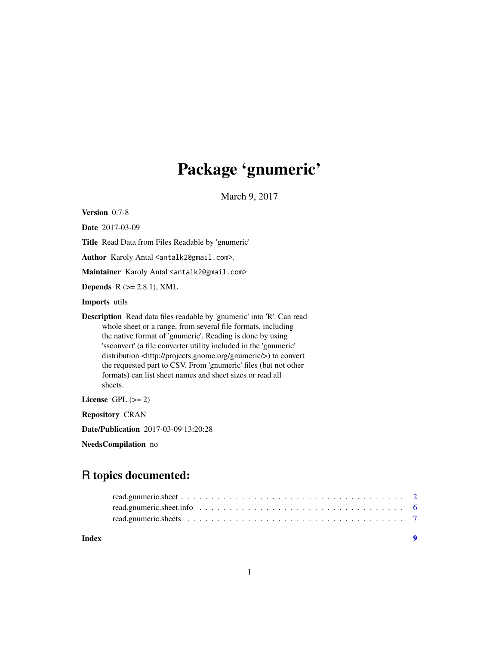## Package 'gnumeric'

March 9, 2017

<span id="page-0-0"></span>Version 0.7-8

Date 2017-03-09

Title Read Data from Files Readable by 'gnumeric'

Author Karoly Antal <antalk2@gmail.com>.

Maintainer Karoly Antal <antalk2@gmail.com>

Depends  $R$  ( $>= 2.8.1$ ), XML

Imports utils

Description Read data files readable by 'gnumeric' into 'R'. Can read whole sheet or a range, from several file formats, including the native format of 'gnumeric'. Reading is done by using 'ssconvert' (a file converter utility included in the 'gnumeric' distribution <http://projects.gnome.org/gnumeric/>) to convert the requested part to CSV. From 'gnumeric' files (but not other formats) can list sheet names and sheet sizes or read all sheets.

License GPL  $(>= 2)$ 

Repository CRAN

Date/Publication 2017-03-09 13:20:28

NeedsCompilation no

### R topics documented:

**Index** [9](#page-8-0)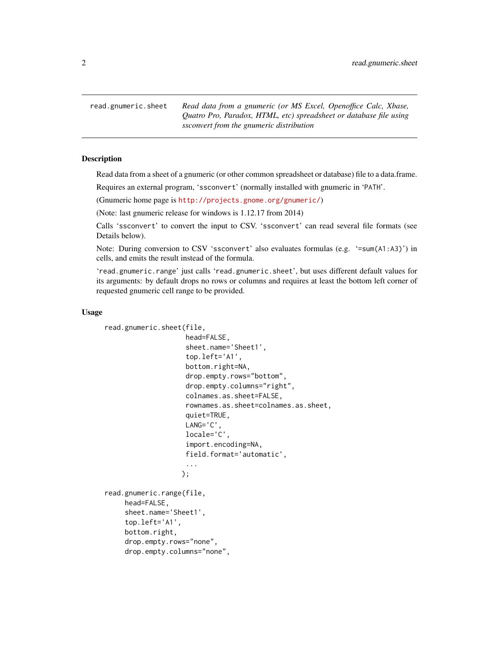<span id="page-1-2"></span><span id="page-1-0"></span>read.gnumeric.sheet *Read data from a gnumeric (or MS Excel, Openoffice Calc, Xbase, Quatro Pro, Paradox, HTML, etc) spreadsheet or database file using ssconvert from the gnumeric distribution*

#### <span id="page-1-1"></span>Description

Read data from a sheet of a gnumeric (or other common spreadsheet or database) file to a data.frame.

Requires an external program, 'ssconvert' (normally installed with gnumeric in 'PATH'.

(Gnumeric home page is <http://projects.gnome.org/gnumeric/>)

(Note: last gnumeric release for windows is 1.12.17 from 2014)

Calls 'ssconvert' to convert the input to CSV. 'ssconvert' can read several file formats (see Details below).

Note: During conversion to CSV 'ssconvert' also evaluates formulas (e.g. '=sum(A1:A3)') in cells, and emits the result instead of the formula.

'read.gnumeric.range' just calls 'read.gnumeric.sheet', but uses different default values for its arguments: by default drops no rows or columns and requires at least the bottom left corner of requested gnumeric cell range to be provided.

#### Usage

```
read.gnumeric.sheet(file,
                    head=FALSE,
                    sheet.name='Sheet1',
                    top.left='A1',
                    bottom.right=NA,
                    drop.empty.rows="bottom",
                    drop.empty.columns="right",
                    colnames.as.sheet=FALSE,
                    rownames.as.sheet=colnames.as.sheet,
                    quiet=TRUE,
                    LANG='C',
                    locale='C',
                    import.encoding=NA,
                    field.format='automatic',
                    ...
                   );
read.gnumeric.range(file,
     head=FALSE,
     sheet.name='Sheet1',
     top.left='A1',
     bottom.right,
     drop.empty.rows="none",
```

```
drop.empty.columns="none",
```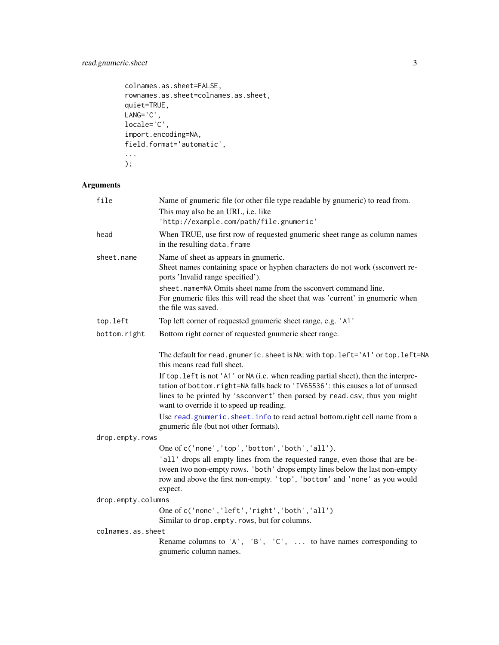#### <span id="page-2-0"></span>read.gnumeric.sheet 3

```
colnames.as.sheet=FALSE,
rownames.as.sheet=colnames.as.sheet,
quiet=TRUE,
LANG='C',
locale='C',
import.encoding=NA,
field.format='automatic',
...
```
);

#### Arguments

| file               | Name of gnumeric file (or other file type readable by gnumeric) to read from.                                                                                                                                                                                                                    |
|--------------------|--------------------------------------------------------------------------------------------------------------------------------------------------------------------------------------------------------------------------------------------------------------------------------------------------|
|                    | This may also be an URL, i.e. like                                                                                                                                                                                                                                                               |
|                    | 'http://example.com/path/file.gnumeric'                                                                                                                                                                                                                                                          |
| head               | When TRUE, use first row of requested gnumeric sheet range as column names<br>in the resulting data. frame                                                                                                                                                                                       |
| sheet.name         | Name of sheet as appears in gnumeric.<br>Sheet names containing space or hyphen characters do not work (ssconvert re-<br>ports 'Invalid range specified').                                                                                                                                       |
|                    | sheet.name=NA Omits sheet name from the ssconvert command line.<br>For gnumeric files this will read the sheet that was 'current' in gnumeric when<br>the file was saved.                                                                                                                        |
| top.left           | Top left corner of requested gnumeric sheet range, e.g. 'A1'                                                                                                                                                                                                                                     |
| bottom.right       | Bottom right corner of requested gnumeric sheet range.                                                                                                                                                                                                                                           |
|                    | The default for read.gnumeric.sheet is NA: with top.left='A1' or top.left=NA<br>this means read full sheet.                                                                                                                                                                                      |
|                    | If top. left is not 'A1' or NA (i.e. when reading partial sheet), then the interpre-<br>tation of bottom.right=NA falls back to 'IV65536': this causes a lot of unused<br>lines to be printed by 'ssconvert' then parsed by read.csv, thus you might<br>want to override it to speed up reading. |
|                    | Use read.gnumeric.sheet.info to read actual bottom.right cell name from a<br>gnumeric file (but not other formats).                                                                                                                                                                              |
| drop.empty.rows    |                                                                                                                                                                                                                                                                                                  |
|                    | One of c('none', 'top', 'bottom', 'both', 'all').                                                                                                                                                                                                                                                |
|                    | 'all' drops all empty lines from the requested range, even those that are be-<br>tween two non-empty rows. 'both' drops empty lines below the last non-empty<br>row and above the first non-empty. 'top', 'bottom' and 'none' as you would<br>expect.                                            |
| drop.empty.columns |                                                                                                                                                                                                                                                                                                  |
|                    | One of c('none', 'left', 'right', 'both', 'all')<br>Similar to drop.empty.rows, but for columns.                                                                                                                                                                                                 |
| colnames.as.sheet  |                                                                                                                                                                                                                                                                                                  |
|                    | Rename columns to 'A', 'B', 'C',  to have names corresponding to<br>gnumeric column names.                                                                                                                                                                                                       |
|                    |                                                                                                                                                                                                                                                                                                  |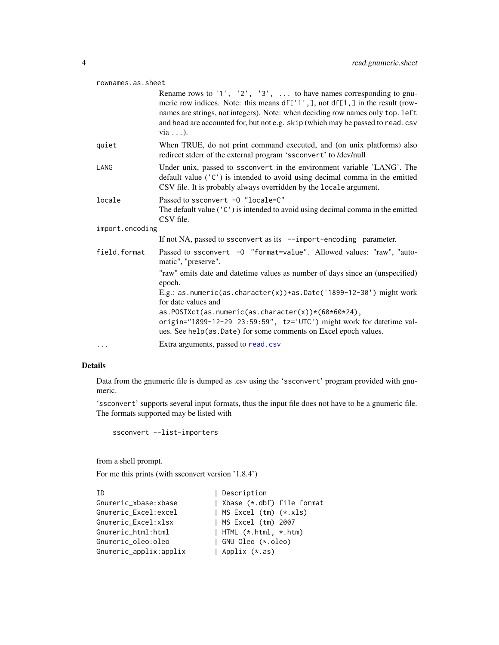#### <span id="page-3-0"></span>rownames.as.sheet

|                 | Rename rows to '1', '2', '3',  to have names corresponding to gnu-<br>meric row indices. Note: this means $df['1',], not df[1,]]$ in the result (row-<br>names are strings, not integers). Note: when deciding row names only top. left<br>and head are accounted for, but not e.g. skip (which may be passed to read.csv<br>via $\ldots$ ). |  |
|-----------------|----------------------------------------------------------------------------------------------------------------------------------------------------------------------------------------------------------------------------------------------------------------------------------------------------------------------------------------------|--|
| quiet           | When TRUE, do not print command executed, and (on unix platforms) also<br>redirect stderr of the external program 'ssconvert' to /dev/null                                                                                                                                                                                                   |  |
| LANG            | Under unix, passed to ssconvert in the environment variable 'LANG'. The<br>default value $('C')$ is intended to avoid using decimal comma in the emitted<br>CSV file. It is probably always overridden by the locale argument.                                                                                                               |  |
| locale          | Passed to ssconvert -0 "locale=C"<br>The default value $('C')$ is intended to avoid using decimal comma in the emitted<br>CSV file.                                                                                                                                                                                                          |  |
| import.encoding |                                                                                                                                                                                                                                                                                                                                              |  |
|                 | If not NA, passed to ssconvert as its --import-encoding parameter.                                                                                                                                                                                                                                                                           |  |
| field.format    | Passed to ssconvert -0 "format=value". Allowed values: "raw", "auto-<br>matic", "preserve".                                                                                                                                                                                                                                                  |  |
|                 | "raw" emits date and date time values as number of days since an (unspecified)<br>epoch.                                                                                                                                                                                                                                                     |  |
|                 | E.g.: as.numeric(as.character(x))+as.Date('1899-12-30') might work<br>for date values and                                                                                                                                                                                                                                                    |  |
|                 | as.POSIXct(as.numeric(as.character(x))*(60*60*24),<br>origin="1899-12-29 23:59:59", tz='UTC') might work for datetime val-<br>ues. See help(as. Date) for some comments on Excel epoch values.                                                                                                                                               |  |
| $\cdots$        | Extra arguments, passed to read.csv                                                                                                                                                                                                                                                                                                          |  |

#### Details

Data from the gnumeric file is dumped as .csv using the 'ssconvert' program provided with gnumeric.

'ssconvert' supports several input formats, thus the input file does not have to be a gnumeric file. The formats supported may be listed with

```
ssconvert --list-importers
```
from a shell prompt.

For me this prints (with ssconvert version '1.8.4')

| TD.                    | Description                        |
|------------------------|------------------------------------|
| Gnumeric_xbase:xbase   | Xbase (*.dbf) file format          |
| Gnumeric_Excel:excel   | MS Excel $(tm)$ $(*.xls)$          |
| Gnumeric Excel:xlsx    | MS Excel (tm) 2007                 |
| Gnumeric_html:html     | $\vert$ HTML $(*.$ html, $*.$ htm) |
| Gnumeric_oleo:oleo     | GNU Oleo (*.oleo)                  |
| Gnumeric_applix:applix | Applix (*.as)                      |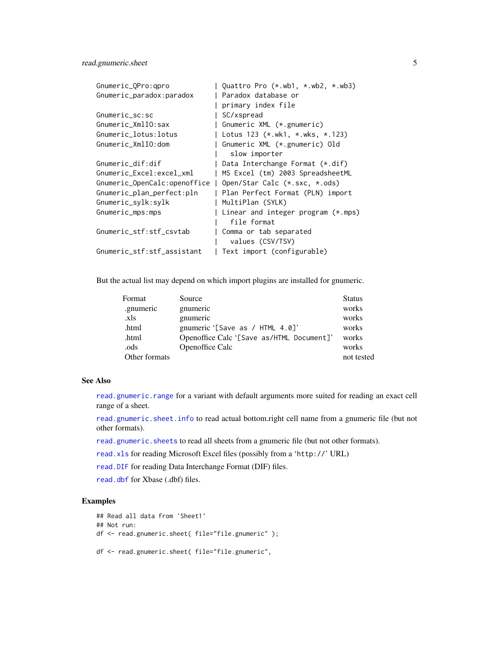#### <span id="page-4-0"></span>read.gnumeric.sheet 5

| Gnumeric_QPro:qpro           | Quattro Pro $(*.wb1, *.wb2, *.wb3)$ |
|------------------------------|-------------------------------------|
| Gnumeric_paradox:paradox     | Paradox database or                 |
|                              | primary index file                  |
| Gnumeric_sc:sc               | SC/xspread                          |
| Gnumeric_XmlIO:sax           | Gnumeric XML (*.gnumeric)           |
| Gnumeric_lotus: lotus        | Lotus 123 (*.wk1, *.wks, *.123)     |
| Gnumeric_XmlIO:dom           | Gnumeric XML (*.gnumeric) Old       |
|                              | slow importer                       |
| Gnumeric_dif:dif             | Data Interchange Format (*.dif)     |
| Gnumeric_Excel:excel_xml     | MS Excel (tm) 2003 SpreadsheetML    |
| Gnumeric_OpenCalc:openoffice | Open/Star Calc (*.sxc, *.ods)       |
| Gnumeric_plan_perfect:pln    | Plan Perfect Format (PLN) import    |
| Gnumeric_sylk:sylk           | MultiPlan (SYLK)                    |
| Gnumeric_mps:mps             | Linear and integer program (*.mps)  |
|                              | file format                         |
| Gnumeric_stf:stf_csvtab      | Comma or tab separated              |
|                              | values (CSV/TSV)                    |
| Gnumeric_stf:stf_assistant   | Text import (configurable)          |

But the actual list may depend on which import plugins are installed for gnumeric.

| Format        | Source                                    | <b>Status</b> |
|---------------|-------------------------------------------|---------------|
| gnumeric      | gnumeric                                  | works         |
| .xls          | gnumeric                                  | works         |
| .html         | gnumeric '[Save as / HTML 4.0]'           | works         |
| .html         | Openoffice Calc '[Save as/HTML Document]' | works         |
| .ods          | <b>Openoffice Calc</b>                    | works         |
| Other formats |                                           | not tested    |

#### See Also

[read.gnumeric.range](#page-1-1) for a variant with default arguments more suited for reading an exact cell range of a sheet.

[read.gnumeric.sheet.info](#page-5-1) to read actual bottom.right cell name from a gnumeric file (but not other formats).

[read.gnumeric.sheets](#page-6-1) to read all sheets from a gnumeric file (but not other formats).

[read.xls](#page-0-0) for reading Microsoft Excel files (possibly from a 'http://' URL)

[read.DIF](#page-0-0) for reading Data Interchange Format (DIF) files.

[read.dbf](#page-0-0) for Xbase (.dbf) files.

#### Examples

```
## Read all data from 'Sheet1'
## Not run:
df <- read.gnumeric.sheet( file="file.gnumeric" );
df <- read.gnumeric.sheet( file="file.gnumeric",
```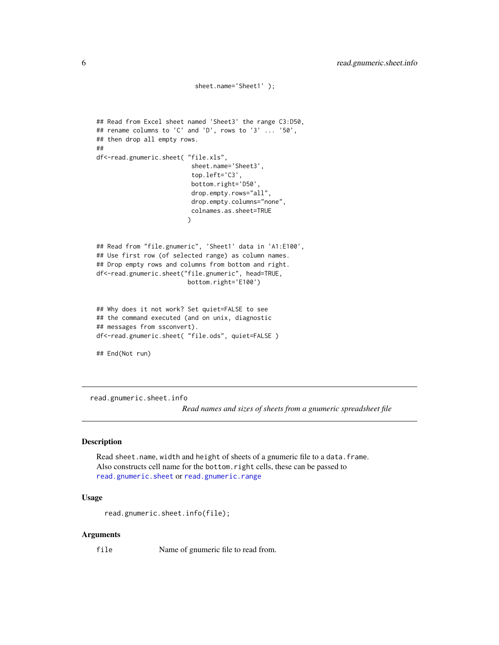```
sheet.name='Sheet1' );
## Read from Excel sheet named 'Sheet3' the range C3:D50,
## rename columns to 'C' and 'D', rows to '3' ... '50',
## then drop all empty rows.
##
df<-read.gnumeric.sheet( "file.xls",
                          sheet.name='Sheet3',
                          top.left='C3',
                          bottom.right='D50',
                          drop.empty.rows="all",
                          drop.empty.columns="none",
                          colnames.as.sheet=TRUE
                         )
## Read from "file.gnumeric", 'Sheet1' data in 'A1:E100',
## Use first row (of selected range) as column names.
## Drop empty rows and columns from bottom and right.
df<-read.gnumeric.sheet("file.gnumeric", head=TRUE,
                         bottom.right='E100')
## Why does it not work? Set quiet=FALSE to see
## the command executed (and on unix, diagnostic
## messages from ssconvert).
df<-read.gnumeric.sheet( "file.ods", quiet=FALSE )
## End(Not run)
```
<span id="page-5-1"></span>read.gnumeric.sheet.info

*Read names and sizes of sheets from a gnumeric spreadsheet file*

#### Description

Read sheet.name, width and height of sheets of a gnumeric file to a data.frame. Also constructs cell name for the bottom.right cells, these can be passed to [read.gnumeric.sheet](#page-1-2) or [read.gnumeric.range](#page-1-1)

#### Usage

```
read.gnumeric.sheet.info(file);
```
#### Arguments

file Name of gnumeric file to read from.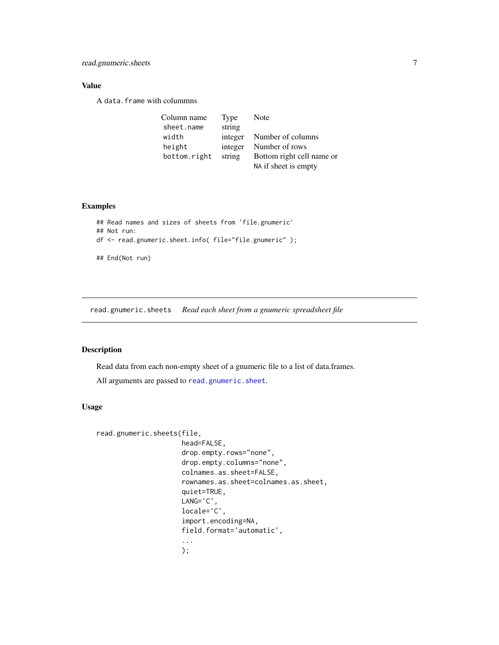#### <span id="page-6-0"></span>Value

A data.frame with colummns

| Column name  | Type    | Note                      |
|--------------|---------|---------------------------|
| sheet.name   | string  |                           |
| width        | integer | Number of columns         |
| height       | integer | Number of rows            |
| bottom.right | string  | Bottom right cell name or |
|              |         | NA if sheet is empty      |

#### Examples

```
## Read names and sizes of sheets from 'file.gnumeric'
## Not run:
df <- read.gnumeric.sheet.info( file="file.gnumeric" );
## End(Not run)
```
<span id="page-6-1"></span>read.gnumeric.sheets *Read each sheet from a gnumeric spreadsheet file*

#### Description

Read data from each non-empty sheet of a gnumeric file to a list of data.frames.

All arguments are passed to [read.gnumeric.sheet](#page-1-2).

#### Usage

```
read.gnumeric.sheets(file,
                     head=FALSE,
                     drop.empty.rows="none",
                     drop.empty.columns="none",
                     colnames.as.sheet=FALSE,
                     rownames.as.sheet=colnames.as.sheet,
                     quiet=TRUE,
                     LANG='C',
                     locale='C',
                     import.encoding=NA,
                     field.format='automatic',
                     ...
                     );
```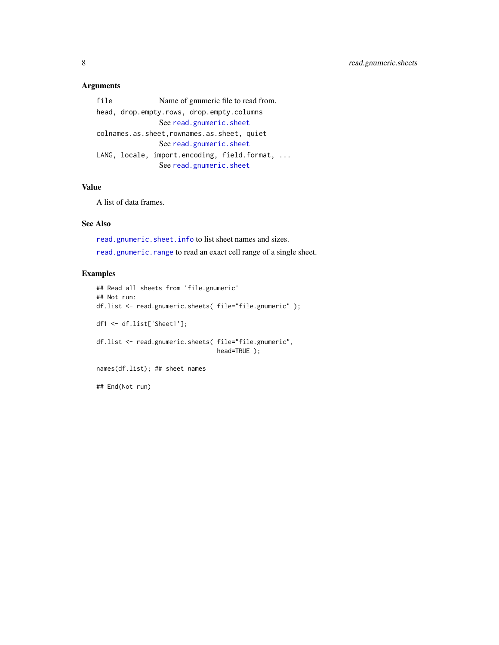#### <span id="page-7-0"></span>Arguments

file Name of gnumeric file to read from. head, drop.empty.r[ows, drop.empty.colum](#page-1-2)ns See read.gnumeric.sheet colnames.as.sheet,[rownames.as.sheet, qu](#page-1-2)iet See read.gnumeric.sheet LANG, locale, import.encoding, field.format, ... See [read.gnumeric.sheet](#page-1-2)

#### Value

A list of data frames.

#### See Also

[read.gnumeric.sheet.info](#page-5-1) to list sheet names and sizes. [read.gnumeric.range](#page-1-1) to read an exact cell range of a single sheet.

#### Examples

```
## Read all sheets from 'file.gnumeric'
## Not run:
df.list <- read.gnumeric.sheets( file="file.gnumeric" );
df1 <- df.list['Sheet1'];
df.list <- read.gnumeric.sheets( file="file.gnumeric",
                                 head=TRUE );
names(df.list); ## sheet names
```
## End(Not run)